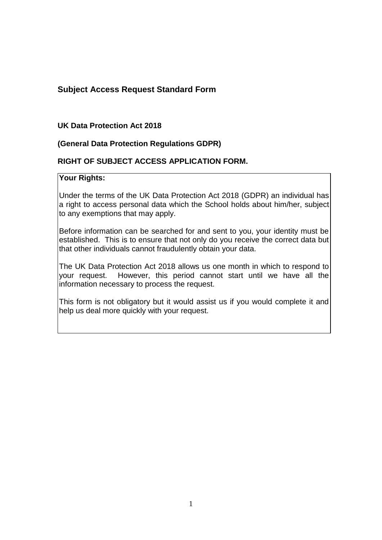# **Subject Access Request Standard Form**

#### **UK Data Protection Act 2018**

## **(General Data Protection Regulations GDPR)**

## **RIGHT OF SUBJECT ACCESS APPLICATION FORM.**

#### **Your Rights:**

Under the terms of the UK Data Protection Act 2018 (GDPR) an individual has a right to access personal data which the School holds about him/her, subject to any exemptions that may apply.

Before information can be searched for and sent to you, your identity must be established. This is to ensure that not only do you receive the correct data but that other individuals cannot fraudulently obtain your data.

The UK Data Protection Act 2018 allows us one month in which to respond to your request. However, this period cannot start until we have all the information necessary to process the request.

This form is not obligatory but it would assist us if you would complete it and help us deal more quickly with your request.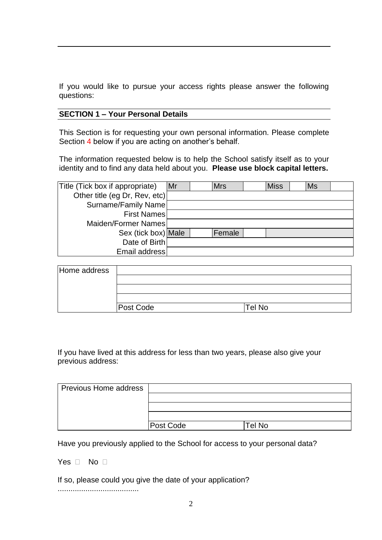If you would like to pursue your access rights please answer the following questions:

# **SECTION 1 – Your Personal Details**

This Section is for requesting your own personal information. Please complete Section 4 below if you are acting on another's behalf.

The information requested below is to help the School satisfy itself as to your identity and to find any data held about you. **Please use block capital letters.**

| Title (Tick box if appropriate) | Mr | <b>Mrs</b> | <b>Miss</b> | <b>Ms</b> |  |
|---------------------------------|----|------------|-------------|-----------|--|
| Other title (eg Dr, Rev, etc)   |    |            |             |           |  |
| Surname/Family Name             |    |            |             |           |  |
| <b>First Names</b>              |    |            |             |           |  |
| Maiden/Former Names             |    |            |             |           |  |
| Sex (tick box) Male             |    | Female     |             |           |  |
| Date of Birth                   |    |            |             |           |  |
| Email address                   |    |            |             |           |  |
|                                 |    |            |             |           |  |

| Home address |           |        |  |
|--------------|-----------|--------|--|
|              |           |        |  |
|              |           |        |  |
|              |           |        |  |
|              | Post Code | Tel No |  |

If you have lived at this address for less than two years, please also give your previous address:

| <b>Previous Home address</b> |           |        |
|------------------------------|-----------|--------|
|                              |           |        |
|                              |           |        |
|                              |           |        |
|                              | Post Code | Tel No |

Have you previously applied to the School for access to your personal data?

Yes  $\Box$  No  $\Box$ 

If so, please could you give the date of your application?

......................................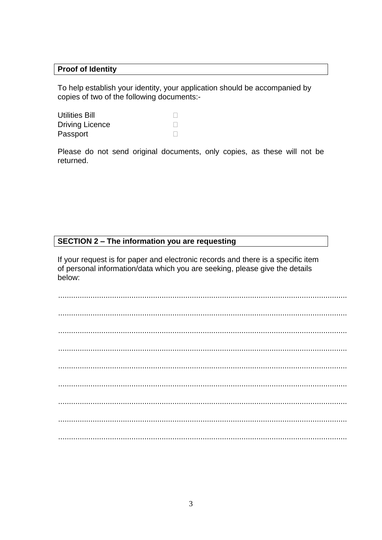## **Proof of Identity**

To help establish your identity, your application should be accompanied by copies of two of the following documents:-

| <b>Utilities Bill</b>  |  |
|------------------------|--|
| <b>Driving Licence</b> |  |
| Passport               |  |

Please do not send original documents, only copies, as these will not be returned.

#### SECTION 2 - The information you are requesting

If your request is for paper and electronic records and there is a specific item of personal information/data which you are seeking, please give the details below: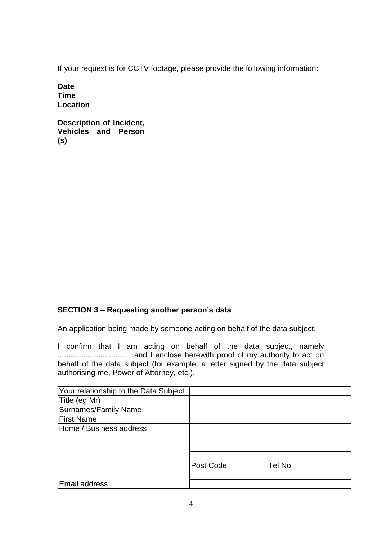If your request is for CCTV footage, please provide the following information:

| <b>Date</b>                                            |  |
|--------------------------------------------------------|--|
| <b>Time</b>                                            |  |
| <b>Location</b>                                        |  |
| Description of Incident,<br>Vehicles and Person<br>(s) |  |
|                                                        |  |

# **SECTION 3 – Requesting another person's data**

An application being made by someone acting on behalf of the data subject.

I confirm that I am acting on behalf of the data subject, namely ................................. and I enclose herewith proof of my authority to act on behalf of the data subject (for example, a letter signed by the data subject authorising me, Power of Attorney, etc.).

| Your relationship to the Data Subject |           |        |
|---------------------------------------|-----------|--------|
| Title (eg Mr)                         |           |        |
| <b>Surnames/Family Name</b>           |           |        |
| <b>First Name</b>                     |           |        |
| Home / Business address               |           |        |
|                                       |           |        |
|                                       |           |        |
|                                       |           |        |
|                                       | Post Code | Tel No |
|                                       |           |        |
| Email address                         |           |        |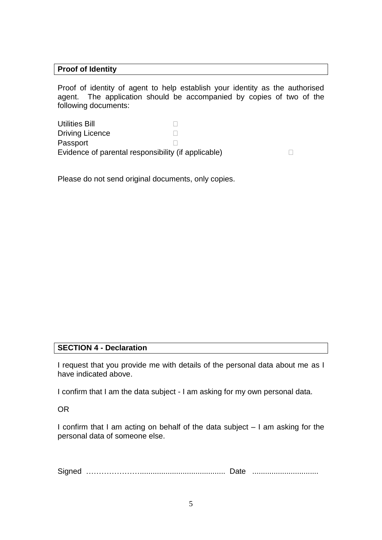## **Proof of Identity**

Proof of identity of agent to help establish your identity as the authorised agent. The application should be accompanied by copies of two of the following documents:

| <b>Utilities Bill</b>                               |  |
|-----------------------------------------------------|--|
| <b>Driving Licence</b>                              |  |
| Passport                                            |  |
| Evidence of parental responsibility (if applicable) |  |

Please do not send original documents, only copies.

#### **SECTION 4 - Declaration**

I request that you provide me with details of the personal data about me as I have indicated above.

I confirm that I am the data subject - I am asking for my own personal data.

OR

I confirm that I am acting on behalf of the data subject – I am asking for the personal data of someone else.

Signed …………………........................................ Date ...............................